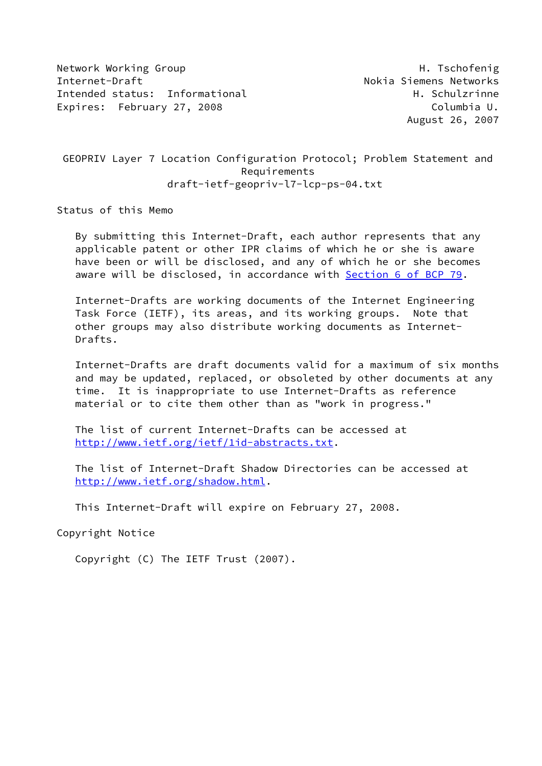Network Working Group Network Alexander Management of the H. Tschofenig Internet-Draft **No. 2018** Nokia Siemens Networks Intended status: Informational example and the H. Schulzrinne Expires: February 27, 2008 Columbia U.

 GEOPRIV Layer 7 Location Configuration Protocol; Problem Statement and Requirements draft-ietf-geopriv-l7-lcp-ps-04.txt

Status of this Memo

 By submitting this Internet-Draft, each author represents that any applicable patent or other IPR claims of which he or she is aware have been or will be disclosed, and any of which he or she becomes aware will be disclosed, in accordance with Section [6 of BCP 79.](https://datatracker.ietf.org/doc/pdf/bcp79#section-6)

 Internet-Drafts are working documents of the Internet Engineering Task Force (IETF), its areas, and its working groups. Note that other groups may also distribute working documents as Internet- Drafts.

 Internet-Drafts are draft documents valid for a maximum of six months and may be updated, replaced, or obsoleted by other documents at any time. It is inappropriate to use Internet-Drafts as reference material or to cite them other than as "work in progress."

 The list of current Internet-Drafts can be accessed at <http://www.ietf.org/ietf/1id-abstracts.txt>.

 The list of Internet-Draft Shadow Directories can be accessed at <http://www.ietf.org/shadow.html>.

This Internet-Draft will expire on February 27, 2008.

Copyright Notice

Copyright (C) The IETF Trust (2007).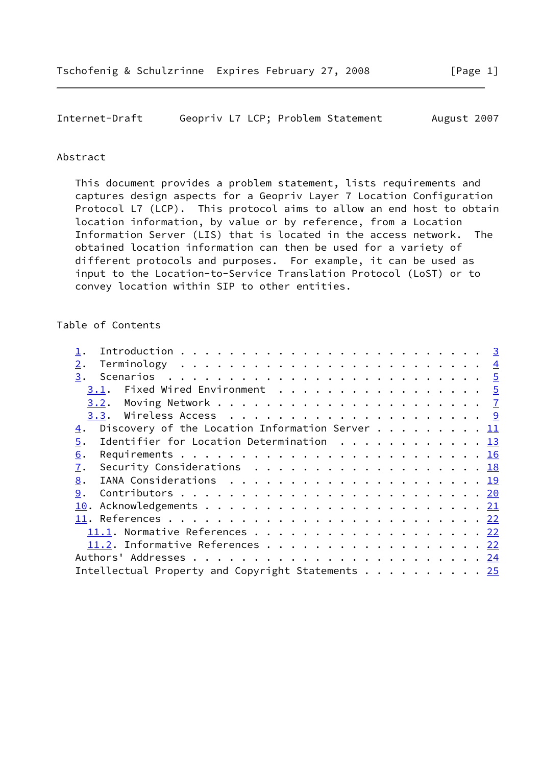Internet-Draft Geopriv L7 LCP; Problem Statement August 2007

### Abstract

 This document provides a problem statement, lists requirements and captures design aspects for a Geopriv Layer 7 Location Configuration Protocol L7 (LCP). This protocol aims to allow an end host to obtain location information, by value or by reference, from a Location Information Server (LIS) that is located in the access network. The obtained location information can then be used for a variety of different protocols and purposes. For example, it can be used as input to the Location-to-Service Translation Protocol (LoST) or to convey location within SIP to other entities.

## Table of Contents

| 2.                                                                                             |  |
|------------------------------------------------------------------------------------------------|--|
| 3.                                                                                             |  |
| 3.1.                                                                                           |  |
|                                                                                                |  |
|                                                                                                |  |
| Discovery of the Location Information Server 11<br>$\overline{4}$ .                            |  |
| Identifier for Location Determination $\ldots \ldots \ldots \ldots \frac{13}{2}$<br>5.         |  |
| 6.                                                                                             |  |
| 7.<br>Security Considerations $\ldots \ldots \ldots \ldots \ldots \ldots \ldots \frac{18}{18}$ |  |
| 8.                                                                                             |  |
| 9.                                                                                             |  |
|                                                                                                |  |
|                                                                                                |  |
| 11.1. Normative References 22                                                                  |  |
| 11.2. Informative References 22                                                                |  |
|                                                                                                |  |
| Intellectual Property and Copyright Statements 25                                              |  |
|                                                                                                |  |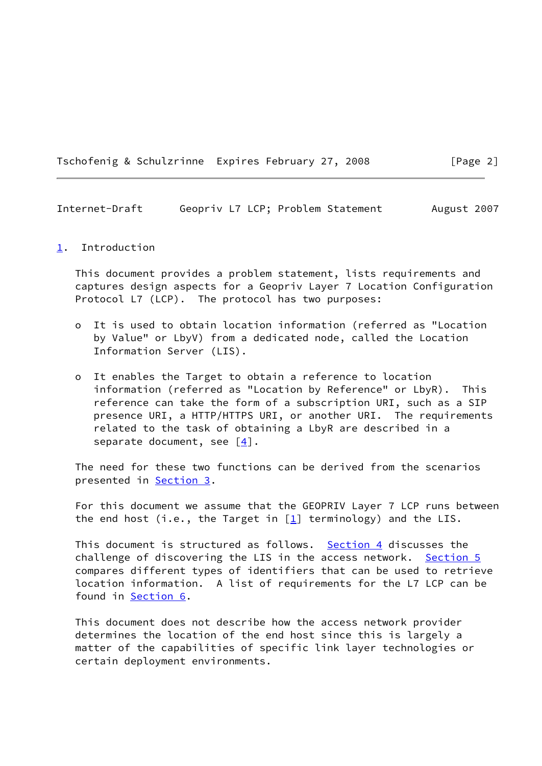Tschofenig & Schulzrinne Expires February 27, 2008 [Page 2]

<span id="page-2-1"></span>Internet-Draft Geopriv L7 LCP; Problem Statement August 2007

#### <span id="page-2-0"></span>[1](#page-2-0). Introduction

 This document provides a problem statement, lists requirements and captures design aspects for a Geopriv Layer 7 Location Configuration Protocol L7 (LCP). The protocol has two purposes:

- o It is used to obtain location information (referred as "Location by Value" or LbyV) from a dedicated node, called the Location Information Server (LIS).
- o It enables the Target to obtain a reference to location information (referred as "Location by Reference" or LbyR). This reference can take the form of a subscription URI, such as a SIP presence URI, a HTTP/HTTPS URI, or another URI. The requirements related to the task of obtaining a LbyR are described in a separate document, see  $[4]$  $[4]$ .

 The need for these two functions can be derived from the scenarios presented in [Section 3](#page-4-0).

 For this document we assume that the GEOPRIV Layer 7 LCP runs between the end host (i.e., the Target in  $[1]$  $[1]$  terminology) and the LIS.

This document is structured as follows. Section  $4$  discusses the challenge of discovering the LIS in the access network. [Section 5](#page-13-0) compares different types of identifiers that can be used to retrieve location information. A list of requirements for the L7 LCP can be found in [Section 6](#page-17-0).

 This document does not describe how the access network provider determines the location of the end host since this is largely a matter of the capabilities of specific link layer technologies or certain deployment environments.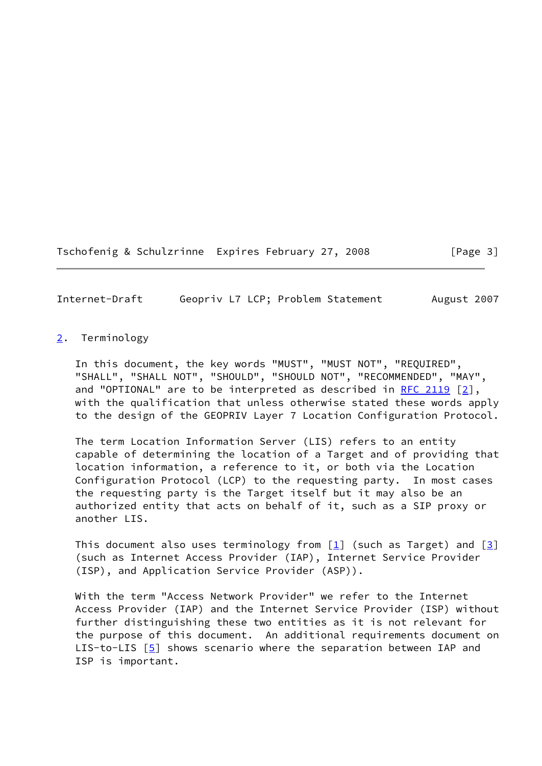Tschofenig & Schulzrinne Expires February 27, 2008 [Page 3]

<span id="page-3-1"></span>Internet-Draft Geopriv L7 LCP; Problem Statement August 2007

## <span id="page-3-0"></span>[2](#page-3-0). Terminology

 In this document, the key words "MUST", "MUST NOT", "REQUIRED", "SHALL", "SHALL NOT", "SHOULD", "SHOULD NOT", "RECOMMENDED", "MAY", and "OPTIONAL" are to be interpreted as described in [RFC 2119](https://datatracker.ietf.org/doc/pdf/rfc2119) [[2\]](#page-24-2), with the qualification that unless otherwise stated these words apply to the design of the GEOPRIV Layer 7 Location Configuration Protocol.

 The term Location Information Server (LIS) refers to an entity capable of determining the location of a Target and of providing that location information, a reference to it, or both via the Location Configuration Protocol (LCP) to the requesting party. In most cases the requesting party is the Target itself but it may also be an authorized entity that acts on behalf of it, such as a SIP proxy or another LTS.

This document also uses terminology from  $[1]$  (such as Target) and  $[3]$  $[3]$  (such as Internet Access Provider (IAP), Internet Service Provider (ISP), and Application Service Provider (ASP)).

 With the term "Access Network Provider" we refer to the Internet Access Provider (IAP) and the Internet Service Provider (ISP) without further distinguishing these two entities as it is not relevant for the purpose of this document. An additional requirements document on LIS-to-LIS  $[5]$  $[5]$  shows scenario where the separation between IAP and ISP is important.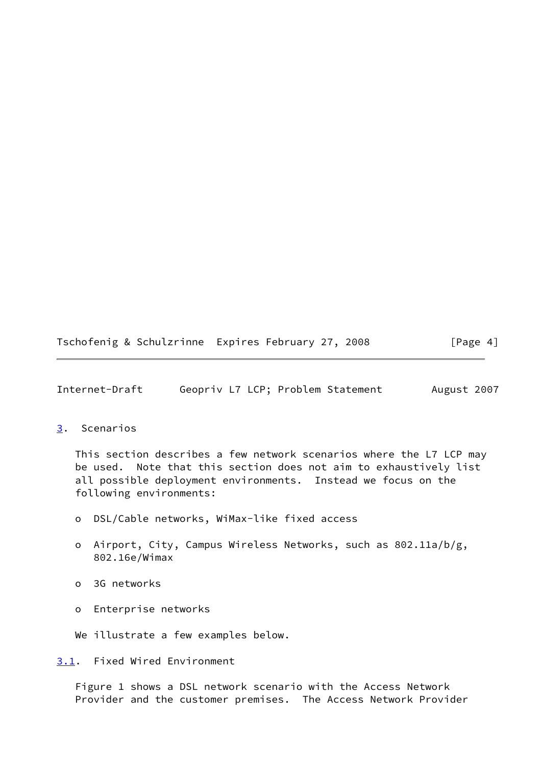Tschofenig & Schulzrinne Expires February 27, 2008 [Page 4]

<span id="page-4-1"></span>Internet-Draft Geopriv L7 LCP; Problem Statement August 2007

<span id="page-4-0"></span>[3](#page-4-0). Scenarios

 This section describes a few network scenarios where the L7 LCP may be used. Note that this section does not aim to exhaustively list all possible deployment environments. Instead we focus on the following environments:

- o DSL/Cable networks, WiMax-like fixed access
- o Airport, City, Campus Wireless Networks, such as 802.11a/b/g, 802.16e/Wimax
- o 3G networks
- o Enterprise networks
- We illustrate a few examples below.

<span id="page-4-2"></span>[3.1](#page-4-2). Fixed Wired Environment

 Figure 1 shows a DSL network scenario with the Access Network Provider and the customer premises. The Access Network Provider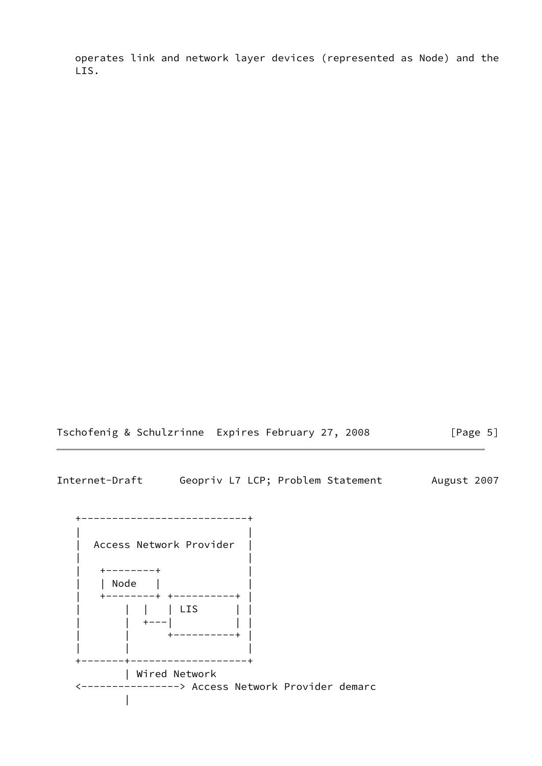operates link and network layer devices (represented as Node) and the LIS.

Tschofenig & Schulzrinne Expires February 27, 2008 [Page 5]

Internet-Draft Geopriv L7 LCP; Problem Statement August 2007

 +---------------------------+ | | | Access Network Provider | | | | +--------+ | | | Node | | | +--------+ +----------+ | | | | | LIS | | | | +---| | | | | +----------+ | | | | +-------+-------------------+ | Wired Network <----------------> Access Network Provider demarc  $\blacksquare$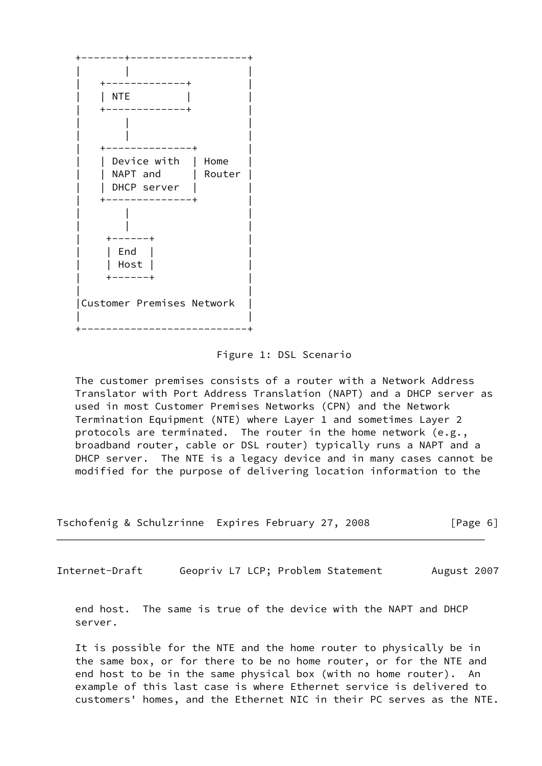

#### Figure 1: DSL Scenario

 The customer premises consists of a router with a Network Address Translator with Port Address Translation (NAPT) and a DHCP server as used in most Customer Premises Networks (CPN) and the Network Termination Equipment (NTE) where Layer 1 and sometimes Layer 2 protocols are terminated. The router in the home network (e.g., broadband router, cable or DSL router) typically runs a NAPT and a DHCP server. The NTE is a legacy device and in many cases cannot be modified for the purpose of delivering location information to the

| Tschofenig & Schulzrinne Expires February 27, 2008 |  |  |  | [Page 6] |
|----------------------------------------------------|--|--|--|----------|
|----------------------------------------------------|--|--|--|----------|

<span id="page-6-0"></span>Internet-Draft Geopriv L7 LCP; Problem Statement August 2007

 end host. The same is true of the device with the NAPT and DHCP server.

 It is possible for the NTE and the home router to physically be in the same box, or for there to be no home router, or for the NTE and end host to be in the same physical box (with no home router). An example of this last case is where Ethernet service is delivered to customers' homes, and the Ethernet NIC in their PC serves as the NTE.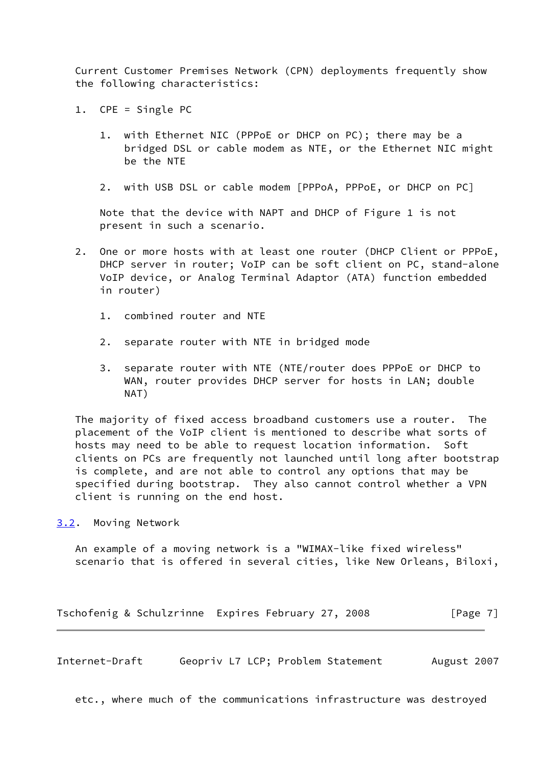Current Customer Premises Network (CPN) deployments frequently show the following characteristics:

- 1. CPE = Single PC
	- 1. with Ethernet NIC (PPPoE or DHCP on PC); there may be a bridged DSL or cable modem as NTE, or the Ethernet NIC might be the NTE
	- 2. with USB DSL or cable modem [PPPoA, PPPoE, or DHCP on PC]

 Note that the device with NAPT and DHCP of Figure 1 is not present in such a scenario.

- 2. One or more hosts with at least one router (DHCP Client or PPPoE, DHCP server in router; VoIP can be soft client on PC, stand-alone VoIP device, or Analog Terminal Adaptor (ATA) function embedded in router)
	- 1. combined router and NTE
	- 2. separate router with NTE in bridged mode
	- 3. separate router with NTE (NTE/router does PPPoE or DHCP to WAN, router provides DHCP server for hosts in LAN; double NAT)

 The majority of fixed access broadband customers use a router. The placement of the VoIP client is mentioned to describe what sorts of hosts may need to be able to request location information. Soft clients on PCs are frequently not launched until long after bootstrap is complete, and are not able to control any options that may be specified during bootstrap. They also cannot control whether a VPN client is running on the end host.

<span id="page-7-0"></span>[3.2](#page-7-0). Moving Network

 An example of a moving network is a "WIMAX-like fixed wireless" scenario that is offered in several cities, like New Orleans, Biloxi,

Tschofenig & Schulzrinne Expires February 27, 2008 [Page 7]

Internet-Draft Geopriv L7 LCP; Problem Statement August 2007

etc., where much of the communications infrastructure was destroyed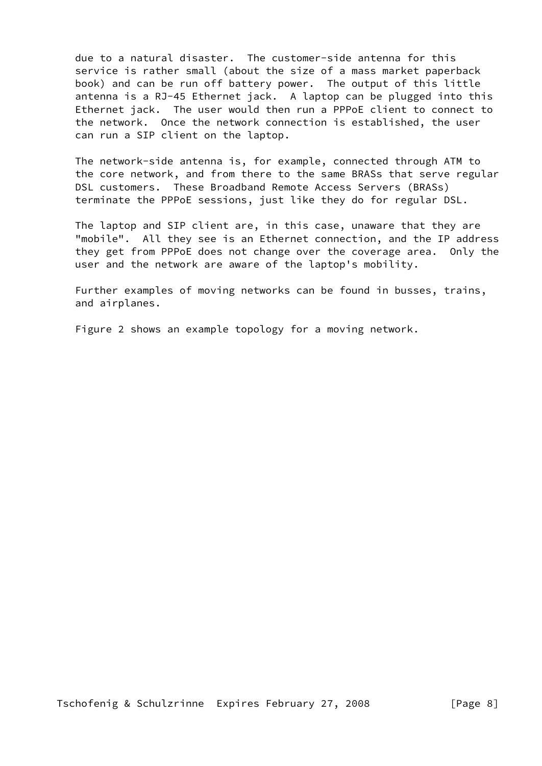due to a natural disaster. The customer-side antenna for this service is rather small (about the size of a mass market paperback book) and can be run off battery power. The output of this little antenna is a RJ-45 Ethernet jack. A laptop can be plugged into this Ethernet jack. The user would then run a PPPoE client to connect to the network. Once the network connection is established, the user can run a SIP client on the laptop.

 The network-side antenna is, for example, connected through ATM to the core network, and from there to the same BRASs that serve regular DSL customers. These Broadband Remote Access Servers (BRASs) terminate the PPPoE sessions, just like they do for regular DSL.

 The laptop and SIP client are, in this case, unaware that they are "mobile". All they see is an Ethernet connection, and the IP address they get from PPPoE does not change over the coverage area. Only the user and the network are aware of the laptop's mobility.

 Further examples of moving networks can be found in busses, trains, and airplanes.

Figure 2 shows an example topology for a moving network.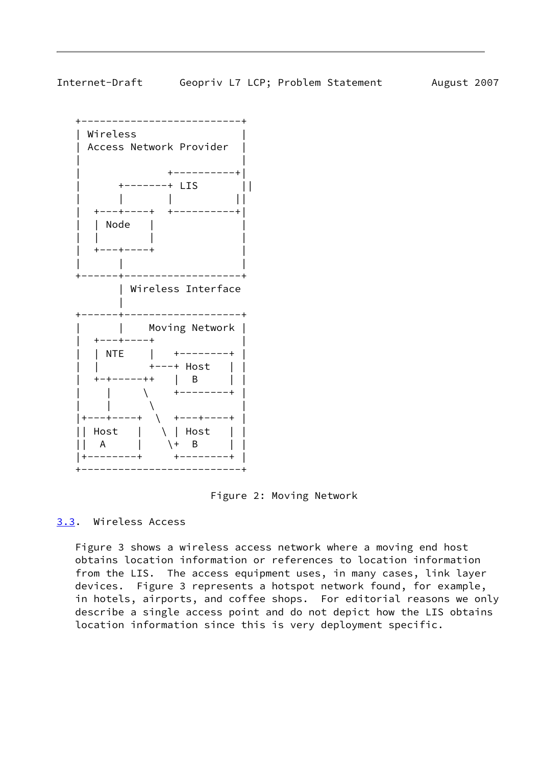<span id="page-9-1"></span>

 +--------------------------+ | Wireless | | Access Network Provider | | | +----------+| | +-------+ LIS || | | | || | +---+----+ +----------+| | | Node | | | | | |  $+---+----+$  | | | +------+-------------------+ | Wireless Interface | +------+-------------------+ | | Moving Network | | +---+----+ | | | NTE | +--------+ | | | +---+ Host | | | +-+-----++ | B | | | | \ +--------+ |  $\| \ \ \|$  |+---+----+ \ +---+----+ | || Host | \ | Host | | || A | \+ B | | |+--------+ +--------+ | +--------------------------+

Figure 2: Moving Network

<span id="page-9-0"></span>[3.3](#page-9-0). Wireless Access

 Figure 3 shows a wireless access network where a moving end host obtains location information or references to location information from the LIS. The access equipment uses, in many cases, link layer devices. Figure 3 represents a hotspot network found, for example, in hotels, airports, and coffee shops. For editorial reasons we only describe a single access point and do not depict how the LIS obtains location information since this is very deployment specific.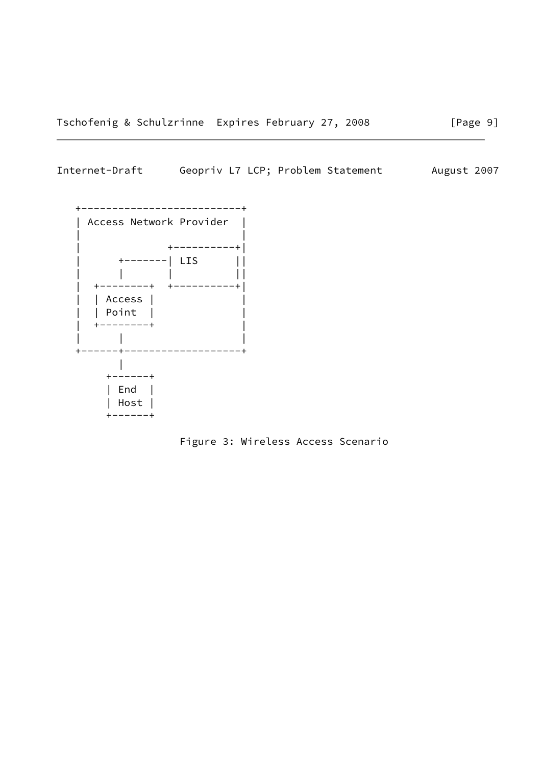# Internet-Draft Geopriv L7 LCP; Problem Statement August 2007



Figure 3: Wireless Access Scenario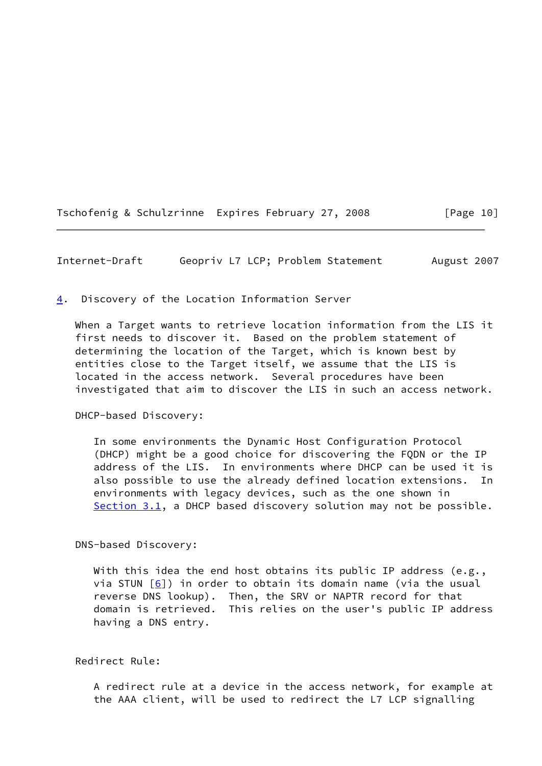Tschofenig & Schulzrinne Expires February 27, 2008 [Page 10]

<span id="page-11-1"></span>Internet-Draft Geopriv L7 LCP; Problem Statement August 2007

<span id="page-11-0"></span>[4](#page-11-0). Discovery of the Location Information Server

 When a Target wants to retrieve location information from the LIS it first needs to discover it. Based on the problem statement of determining the location of the Target, which is known best by entities close to the Target itself, we assume that the LIS is located in the access network. Several procedures have been investigated that aim to discover the LIS in such an access network.

DHCP-based Discovery:

 In some environments the Dynamic Host Configuration Protocol (DHCP) might be a good choice for discovering the FQDN or the IP address of the LIS. In environments where DHCP can be used it is also possible to use the already defined location extensions. In environments with legacy devices, such as the one shown in [Section 3.1](#page-4-2), a DHCP based discovery solution may not be possible.

DNS-based Discovery:

With this idea the end host obtains its public IP address (e.g., via STUN  $[6]$  $[6]$ ) in order to obtain its domain name (via the usual reverse DNS lookup). Then, the SRV or NAPTR record for that domain is retrieved. This relies on the user's public IP address having a DNS entry.

Redirect Rule:

 A redirect rule at a device in the access network, for example at the AAA client, will be used to redirect the L7 LCP signalling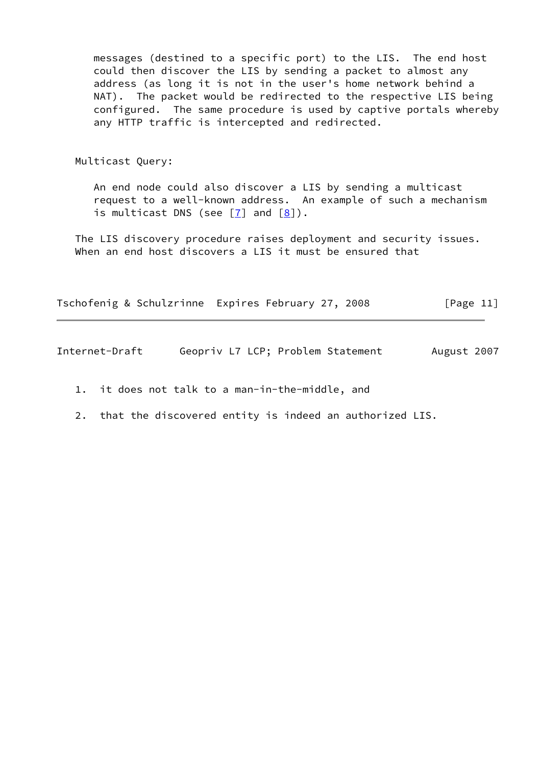messages (destined to a specific port) to the LIS. The end host could then discover the LIS by sending a packet to almost any address (as long it is not in the user's home network behind a NAT). The packet would be redirected to the respective LIS being configured. The same procedure is used by captive portals whereby any HTTP traffic is intercepted and redirected.

Multicast Query:

 An end node could also discover a LIS by sending a multicast request to a well-known address. An example of such a mechanism is multicast DNS (see  $[7]$  and  $[8]$ ).

 The LIS discovery procedure raises deployment and security issues. When an end host discovers a LIS it must be ensured that

Tschofenig & Schulzrinne Expires February 27, 2008 [Page 11]

Internet-Draft Geopriv L7 LCP; Problem Statement August 2007

- 1. it does not talk to a man-in-the-middle, and
- 2. that the discovered entity is indeed an authorized LIS.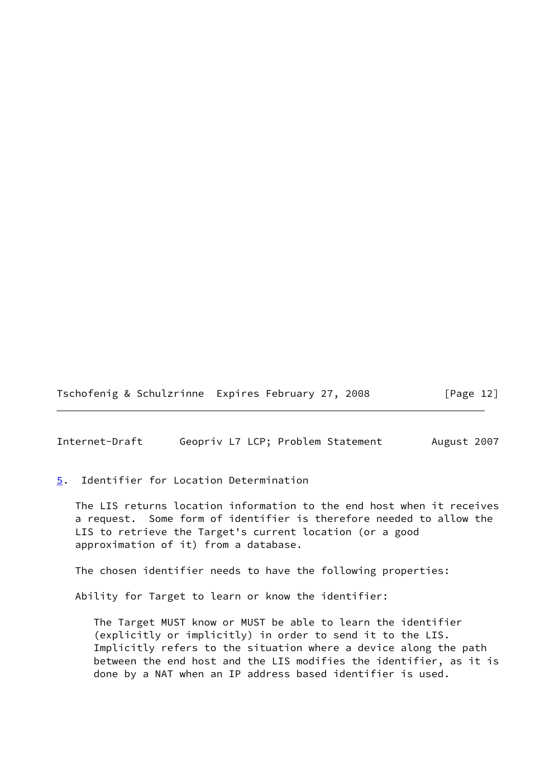Tschofenig & Schulzrinne Expires February 27, 2008 [Page 12]

<span id="page-13-1"></span>Internet-Draft Geopriv L7 LCP; Problem Statement August 2007

<span id="page-13-0"></span>[5](#page-13-0). Identifier for Location Determination

 The LIS returns location information to the end host when it receives a request. Some form of identifier is therefore needed to allow the LIS to retrieve the Target's current location (or a good approximation of it) from a database.

The chosen identifier needs to have the following properties:

Ability for Target to learn or know the identifier:

 The Target MUST know or MUST be able to learn the identifier (explicitly or implicitly) in order to send it to the LIS. Implicitly refers to the situation where a device along the path between the end host and the LIS modifies the identifier, as it is done by a NAT when an IP address based identifier is used.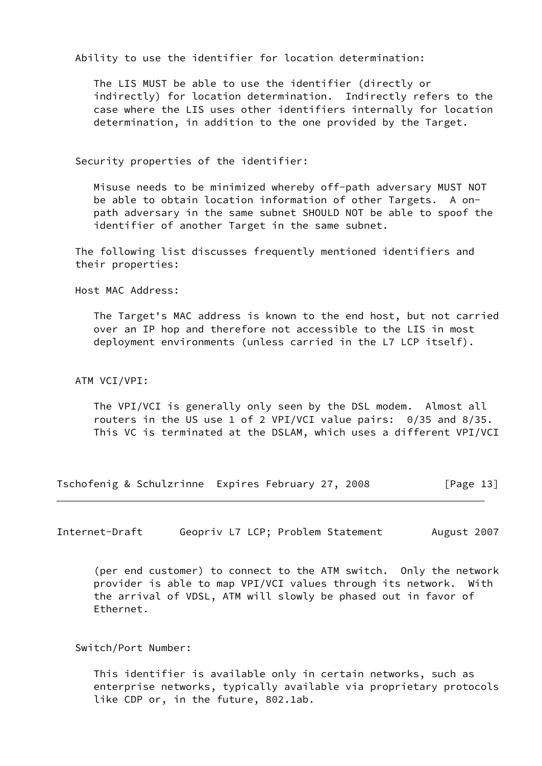Ability to use the identifier for location determination:

 The LIS MUST be able to use the identifier (directly or indirectly) for location determination. Indirectly refers to the case where the LIS uses other identifiers internally for location determination, in addition to the one provided by the Target.

Security properties of the identifier:

 Misuse needs to be minimized whereby off-path adversary MUST NOT be able to obtain location information of other Targets. A on path adversary in the same subnet SHOULD NOT be able to spoof the identifier of another Target in the same subnet.

 The following list discusses frequently mentioned identifiers and their properties:

Host MAC Address:

 The Target's MAC address is known to the end host, but not carried over an IP hop and therefore not accessible to the LIS in most deployment environments (unless carried in the L7 LCP itself).

#### ATM VCI/VPI:

 The VPI/VCI is generally only seen by the DSL modem. Almost all routers in the US use 1 of 2 VPI/VCI value pairs: 0/35 and 8/35. This VC is terminated at the DSLAM, which uses a different VPI/VCI

Tschofenig & Schulzrinne Expires February 27, 2008 [Page 13]

Internet-Draft Geopriv L7 LCP; Problem Statement August 2007

 (per end customer) to connect to the ATM switch. Only the network provider is able to map VPI/VCI values through its network. With the arrival of VDSL, ATM will slowly be phased out in favor of Ethernet.

Switch/Port Number:

 This identifier is available only in certain networks, such as enterprise networks, typically available via proprietary protocols like CDP or, in the future, 802.1ab.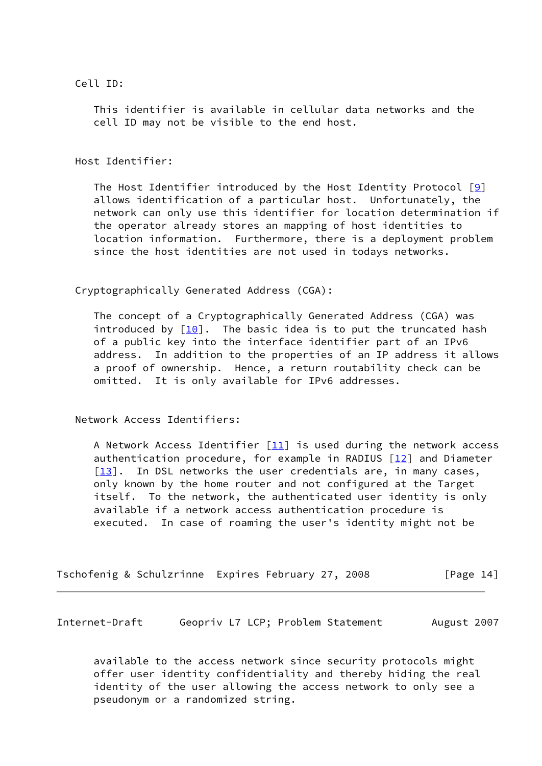Cell ID:

 This identifier is available in cellular data networks and the cell ID may not be visible to the end host.

Host Identifier:

The Host Identifier introduced by the Host Identity Protocol  $[9]$  $[9]$  allows identification of a particular host. Unfortunately, the network can only use this identifier for location determination if the operator already stores an mapping of host identities to location information. Furthermore, there is a deployment problem since the host identities are not used in todays networks.

Cryptographically Generated Address (CGA):

 The concept of a Cryptographically Generated Address (CGA) was introduced by  $[10]$ . The basic idea is to put the truncated hash of a public key into the interface identifier part of an IPv6 address. In addition to the properties of an IP address it allows a proof of ownership. Hence, a return routability check can be omitted. It is only available for IPv6 addresses.

Network Access Identifiers:

A Network Access Identifier  $[11]$  $[11]$  is used during the network access authentication procedure, for example in RADIUS  $[12]$  $[12]$  and Diameter  $\lceil 13 \rceil$ . In DSL networks the user credentials are, in many cases, only known by the home router and not configured at the Target itself. To the network, the authenticated user identity is only available if a network access authentication procedure is executed. In case of roaming the user's identity might not be

|  | Tschofenig & Schulzrinne Expires February 27, 2008 | [Page 14] |
|--|----------------------------------------------------|-----------|
|--|----------------------------------------------------|-----------|

Internet-Draft Geopriv L7 LCP; Problem Statement August 2007

 available to the access network since security protocols might offer user identity confidentiality and thereby hiding the real identity of the user allowing the access network to only see a pseudonym or a randomized string.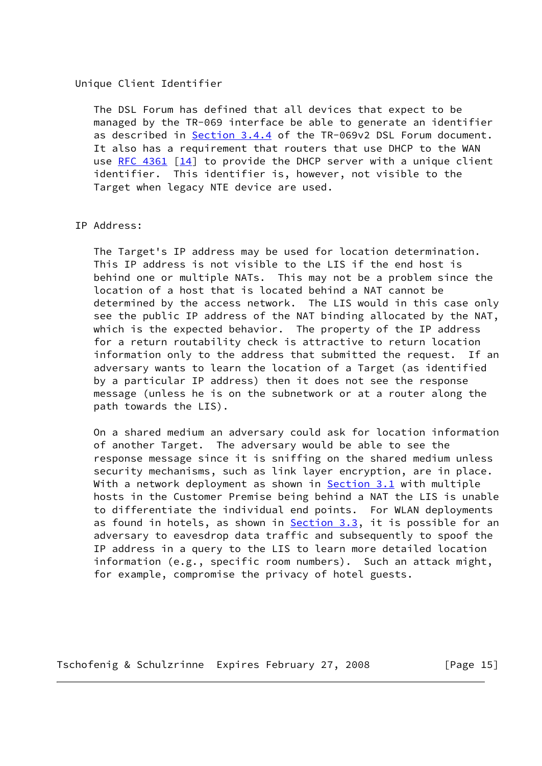#### Unique Client Identifier

 The DSL Forum has defined that all devices that expect to be managed by the TR-069 interface be able to generate an identifier as described in Section 3.4.4 of the TR-069v2 DSL Forum document. It also has a requirement that routers that use DHCP to the WAN use [RFC 4361](https://datatracker.ietf.org/doc/pdf/rfc4361)  $\lceil 14 \rceil$  to provide the DHCP server with a unique client identifier. This identifier is, however, not visible to the Target when legacy NTE device are used.

### IP Address:

 The Target's IP address may be used for location determination. This IP address is not visible to the LIS if the end host is behind one or multiple NATs. This may not be a problem since the location of a host that is located behind a NAT cannot be determined by the access network. The LIS would in this case only see the public IP address of the NAT binding allocated by the NAT, which is the expected behavior. The property of the IP address for a return routability check is attractive to return location information only to the address that submitted the request. If an adversary wants to learn the location of a Target (as identified by a particular IP address) then it does not see the response message (unless he is on the subnetwork or at a router along the path towards the LIS).

 On a shared medium an adversary could ask for location information of another Target. The adversary would be able to see the response message since it is sniffing on the shared medium unless security mechanisms, such as link layer encryption, are in place. With a network deployment as shown in [Section 3.1](#page-4-2) with multiple hosts in the Customer Premise being behind a NAT the LIS is unable to differentiate the individual end points. For WLAN deployments as found in hotels, as shown in [Section 3.3](#page-9-0), it is possible for an adversary to eavesdrop data traffic and subsequently to spoof the IP address in a query to the LIS to learn more detailed location information (e.g., specific room numbers). Such an attack might, for example, compromise the privacy of hotel guests.

Tschofenig & Schulzrinne Expires February 27, 2008 [Page 15]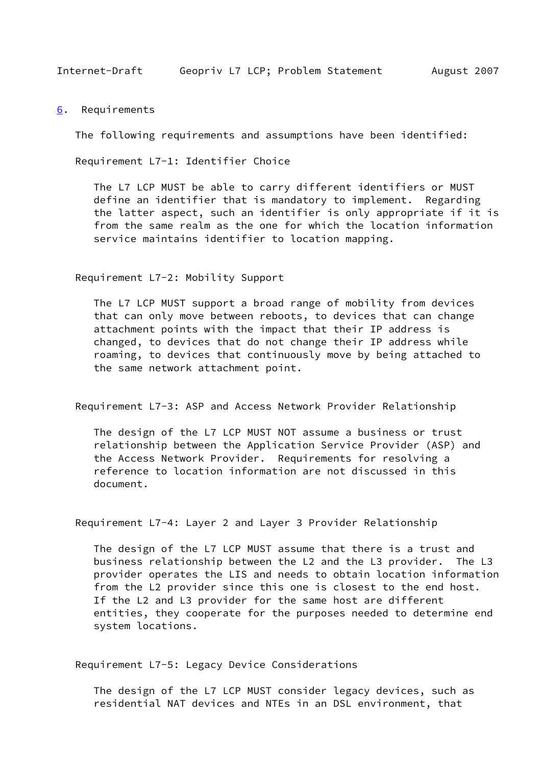<span id="page-17-1"></span><span id="page-17-0"></span>[6](#page-17-0). Requirements

The following requirements and assumptions have been identified:

Requirement L7-1: Identifier Choice

 The L7 LCP MUST be able to carry different identifiers or MUST define an identifier that is mandatory to implement. Regarding the latter aspect, such an identifier is only appropriate if it is from the same realm as the one for which the location information service maintains identifier to location mapping.

Requirement L7-2: Mobility Support

 The L7 LCP MUST support a broad range of mobility from devices that can only move between reboots, to devices that can change attachment points with the impact that their IP address is changed, to devices that do not change their IP address while roaming, to devices that continuously move by being attached to the same network attachment point.

Requirement L7-3: ASP and Access Network Provider Relationship

 The design of the L7 LCP MUST NOT assume a business or trust relationship between the Application Service Provider (ASP) and the Access Network Provider. Requirements for resolving a reference to location information are not discussed in this document.

Requirement L7-4: Layer 2 and Layer 3 Provider Relationship

 The design of the L7 LCP MUST assume that there is a trust and business relationship between the L2 and the L3 provider. The L3 provider operates the LIS and needs to obtain location information from the L2 provider since this one is closest to the end host. If the L2 and L3 provider for the same host are different entities, they cooperate for the purposes needed to determine end system locations.

Requirement L7-5: Legacy Device Considerations

 The design of the L7 LCP MUST consider legacy devices, such as residential NAT devices and NTEs in an DSL environment, that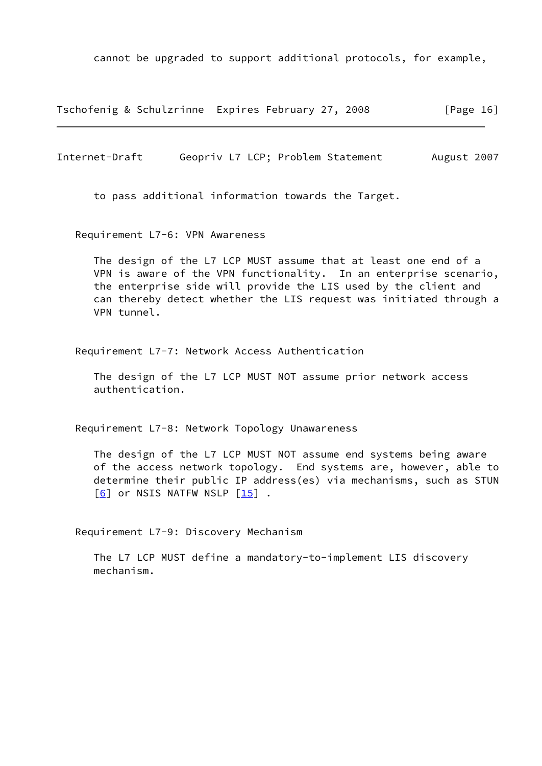cannot be upgraded to support additional protocols, for example,

Tschofenig & Schulzrinne Expires February 27, 2008 [Page 16]

Internet-Draft Geopriv L7 LCP; Problem Statement August 2007

to pass additional information towards the Target.

Requirement L7-6: VPN Awareness

 The design of the L7 LCP MUST assume that at least one end of a VPN is aware of the VPN functionality. In an enterprise scenario, the enterprise side will provide the LIS used by the client and can thereby detect whether the LIS request was initiated through a VPN tunnel.

Requirement L7-7: Network Access Authentication

 The design of the L7 LCP MUST NOT assume prior network access authentication.

Requirement L7-8: Network Topology Unawareness

 The design of the L7 LCP MUST NOT assume end systems being aware of the access network topology. End systems are, however, able to determine their public IP address(es) via mechanisms, such as STUN  $\lceil 6 \rceil$  or NSIS NATFW NSLP  $\lceil 15 \rceil$  .

Requirement L7-9: Discovery Mechanism

 The L7 LCP MUST define a mandatory-to-implement LIS discovery mechanism.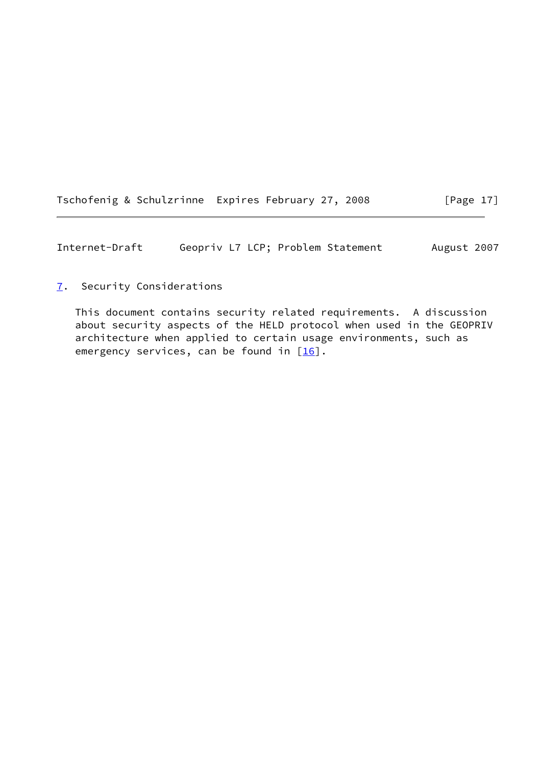| Tschofenig & Schulzrinne Expires February 27, 2008 |  | [Page 17] |
|----------------------------------------------------|--|-----------|
|                                                    |  |           |

<span id="page-19-1"></span>Internet-Draft Geopriv L7 LCP; Problem Statement August 2007

## <span id="page-19-0"></span>[7](#page-19-0). Security Considerations

 This document contains security related requirements. A discussion about security aspects of the HELD protocol when used in the GEOPRIV architecture when applied to certain usage environments, such as emergency services, can be found in  $[16]$ .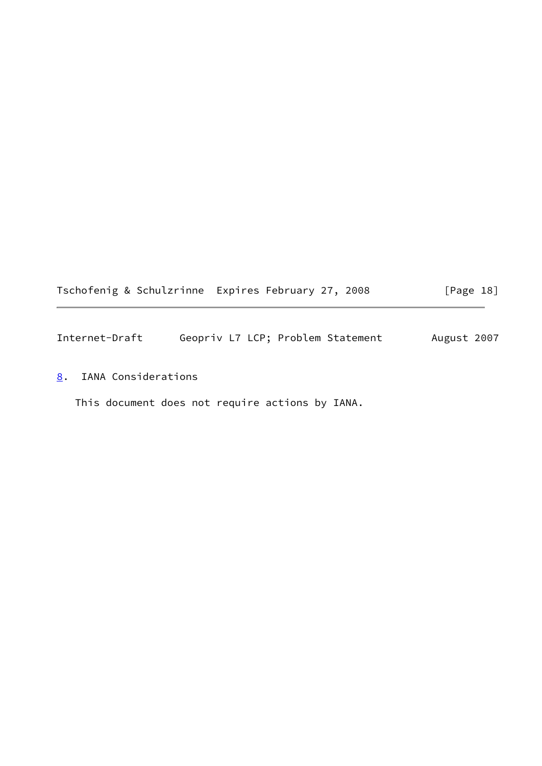|  | Tschofenig & Schulzrinne Expires February 27, 2008 | [Page 18] |
|--|----------------------------------------------------|-----------|
|--|----------------------------------------------------|-----------|

<span id="page-20-1"></span>Internet-Draft Geopriv L7 LCP; Problem Statement August 2007

<span id="page-20-0"></span>[8](#page-20-0). IANA Considerations

This document does not require actions by IANA.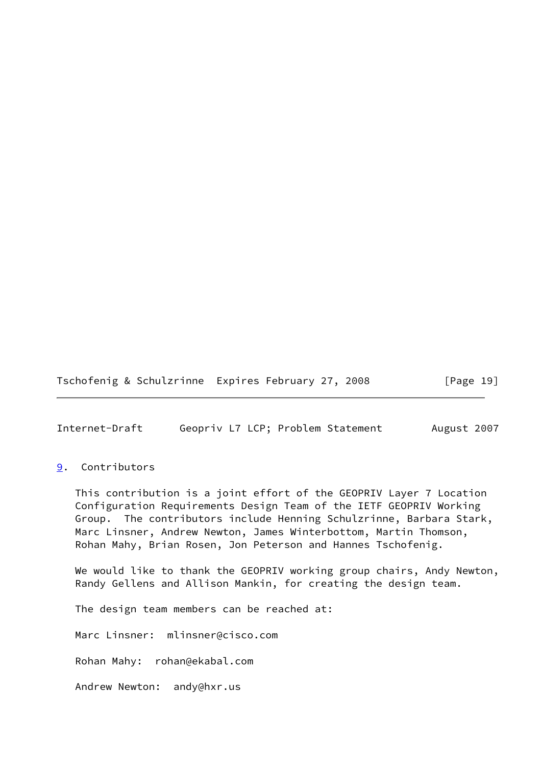Tschofenig & Schulzrinne Expires February 27, 2008 [Page 19]

<span id="page-21-1"></span>Internet-Draft Geopriv L7 LCP; Problem Statement August 2007

## <span id="page-21-0"></span>[9](#page-21-0). Contributors

 This contribution is a joint effort of the GEOPRIV Layer 7 Location Configuration Requirements Design Team of the IETF GEOPRIV Working Group. The contributors include Henning Schulzrinne, Barbara Stark, Marc Linsner, Andrew Newton, James Winterbottom, Martin Thomson, Rohan Mahy, Brian Rosen, Jon Peterson and Hannes Tschofenig.

 We would like to thank the GEOPRIV working group chairs, Andy Newton, Randy Gellens and Allison Mankin, for creating the design team.

The design team members can be reached at:

Marc Linsner: mlinsner@cisco.com

Rohan Mahy: rohan@ekabal.com

Andrew Newton: andy@hxr.us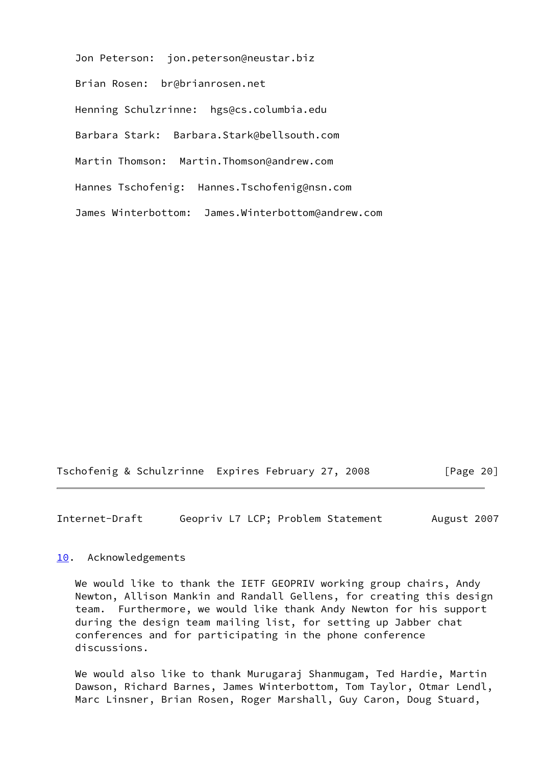Jon Peterson: jon.peterson@neustar.biz Brian Rosen: br@brianrosen.net Henning Schulzrinne: hgs@cs.columbia.edu Barbara Stark: Barbara.Stark@bellsouth.com Martin Thomson: Martin.Thomson@andrew.com Hannes Tschofenig: Hannes.Tschofenig@nsn.com James Winterbottom: James.Winterbottom@andrew.com

Tschofenig & Schulzrinne Expires February 27, 2008 [Page 20]

<span id="page-22-1"></span>Internet-Draft Geopriv L7 LCP; Problem Statement August 2007

#### <span id="page-22-0"></span>[10.](#page-22-0) Acknowledgements

 We would like to thank the IETF GEOPRIV working group chairs, Andy Newton, Allison Mankin and Randall Gellens, for creating this design team. Furthermore, we would like thank Andy Newton for his support during the design team mailing list, for setting up Jabber chat conferences and for participating in the phone conference discussions.

 We would also like to thank Murugaraj Shanmugam, Ted Hardie, Martin Dawson, Richard Barnes, James Winterbottom, Tom Taylor, Otmar Lendl, Marc Linsner, Brian Rosen, Roger Marshall, Guy Caron, Doug Stuard,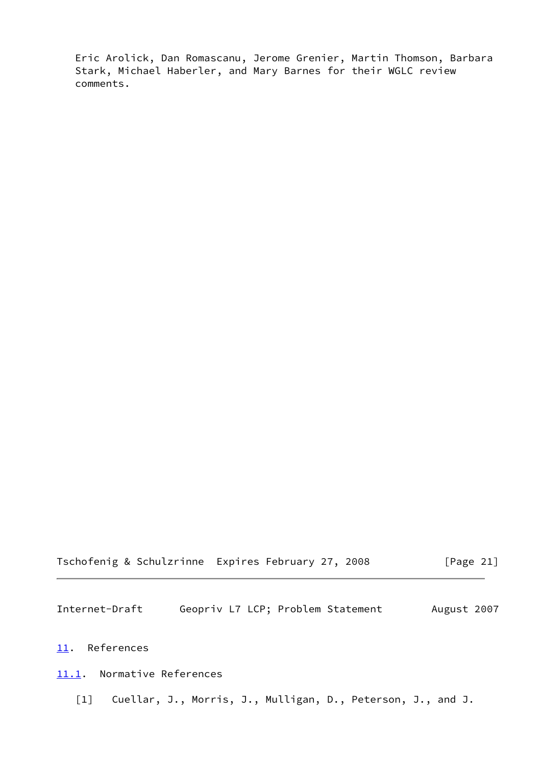Eric Arolick, Dan Romascanu, Jerome Grenier, Martin Thomson, Barbara Stark, Michael Haberler, and Mary Barnes for their WGLC review comments.

|  | Tschofenig & Schulzrinne Expires February 27, 2008 | [Page 21] |
|--|----------------------------------------------------|-----------|
|--|----------------------------------------------------|-----------|

<span id="page-23-1"></span>Internet-Draft Geopriv L7 LCP; Problem Statement August 2007

## <span id="page-23-0"></span>[11.](#page-23-0) References

<span id="page-23-2"></span>[11.1](#page-23-2). Normative References

<span id="page-23-3"></span>[1] Cuellar, J., Morris, J., Mulligan, D., Peterson, J., and J.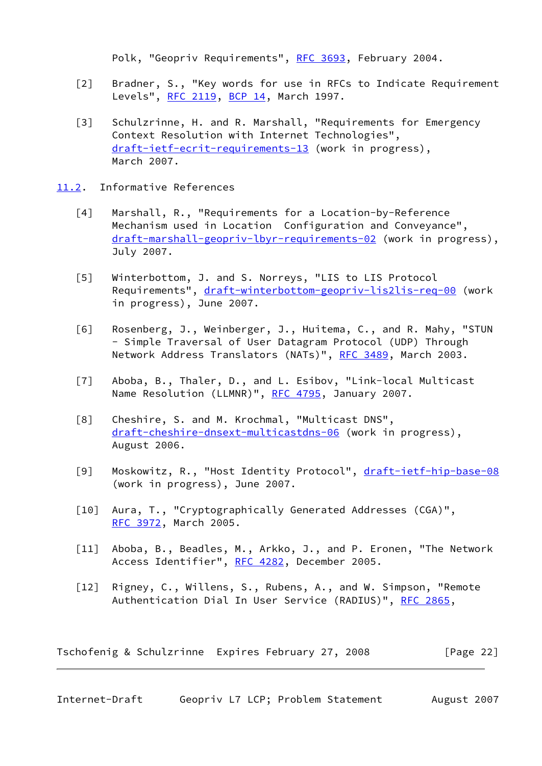Polk, "Geopriv Requirements", [RFC 3693,](https://datatracker.ietf.org/doc/pdf/rfc3693) February 2004.

- <span id="page-24-2"></span> [2] Bradner, S., "Key words for use in RFCs to Indicate Requirement Levels", [RFC 2119,](https://datatracker.ietf.org/doc/pdf/rfc2119) [BCP 14](https://datatracker.ietf.org/doc/pdf/bcp14), March 1997.
- <span id="page-24-3"></span> [3] Schulzrinne, H. and R. Marshall, "Requirements for Emergency Context Resolution with Internet Technologies", [draft-ietf-ecrit-requirements-13](https://datatracker.ietf.org/doc/pdf/draft-ietf-ecrit-requirements-13) (work in progress), March 2007.
- <span id="page-24-7"></span><span id="page-24-6"></span><span id="page-24-5"></span><span id="page-24-4"></span><span id="page-24-1"></span><span id="page-24-0"></span>[11.2](#page-24-0). Informative References
	- [4] Marshall, R., "Requirements for a Location-by-Reference Mechanism used in Location Configuration and Conveyance", [draft-marshall-geopriv-lbyr-requirements-02](https://datatracker.ietf.org/doc/pdf/draft-marshall-geopriv-lbyr-requirements-02) (work in progress), July 2007.
	- [5] Winterbottom, J. and S. Norreys, "LIS to LIS Protocol Requirements", [draft-winterbottom-geopriv-lis2lis-req-00](https://datatracker.ietf.org/doc/pdf/draft-winterbottom-geopriv-lis2lis-req-00) (work in progress), June 2007.
	- [6] Rosenberg, J., Weinberger, J., Huitema, C., and R. Mahy, "STUN - Simple Traversal of User Datagram Protocol (UDP) Through Network Address Translators (NATs)", [RFC 3489,](https://datatracker.ietf.org/doc/pdf/rfc3489) March 2003.
	- [7] Aboba, B., Thaler, D., and L. Esibov, "Link-local Multicast Name Resolution (LLMNR)", [RFC 4795](https://datatracker.ietf.org/doc/pdf/rfc4795), January 2007.
	- [8] Cheshire, S. and M. Krochmal, "Multicast DNS", [draft-cheshire-dnsext-multicastdns-06](https://datatracker.ietf.org/doc/pdf/draft-cheshire-dnsext-multicastdns-06) (work in progress), August 2006.
	- [9] Moskowitz, R., "Host Identity Protocol", [draft-ietf-hip-base-08](https://datatracker.ietf.org/doc/pdf/draft-ietf-hip-base-08) (work in progress), June 2007.
	- [10] Aura, T., "Cryptographically Generated Addresses (CGA)", [RFC 3972](https://datatracker.ietf.org/doc/pdf/rfc3972), March 2005.
	- [11] Aboba, B., Beadles, M., Arkko, J., and P. Eronen, "The Network Access Identifier", [RFC 4282](https://datatracker.ietf.org/doc/pdf/rfc4282), December 2005.
	- [12] Rigney, C., Willens, S., Rubens, A., and W. Simpson, "Remote Authentication Dial In User Service (RADIUS)", [RFC 2865](https://datatracker.ietf.org/doc/pdf/rfc2865),

<span id="page-24-11"></span><span id="page-24-10"></span><span id="page-24-9"></span><span id="page-24-8"></span>Tschofenig & Schulzrinne Expires February 27, 2008 [Page 22]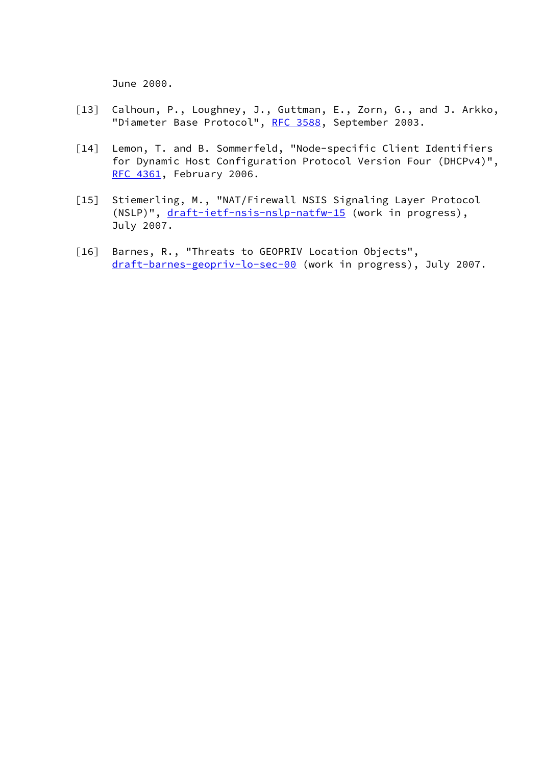June 2000.

- <span id="page-25-0"></span> [13] Calhoun, P., Loughney, J., Guttman, E., Zorn, G., and J. Arkko, "Diameter Base Protocol", [RFC 3588](https://datatracker.ietf.org/doc/pdf/rfc3588), September 2003.
- <span id="page-25-1"></span> [14] Lemon, T. and B. Sommerfeld, "Node-specific Client Identifiers for Dynamic Host Configuration Protocol Version Four (DHCPv4)", [RFC 4361](https://datatracker.ietf.org/doc/pdf/rfc4361), February 2006.
- <span id="page-25-2"></span> [15] Stiemerling, M., "NAT/Firewall NSIS Signaling Layer Protocol (NSLP)", [draft-ietf-nsis-nslp-natfw-15](https://datatracker.ietf.org/doc/pdf/draft-ietf-nsis-nslp-natfw-15) (work in progress), July 2007.
- <span id="page-25-3"></span> [16] Barnes, R., "Threats to GEOPRIV Location Objects", [draft-barnes-geopriv-lo-sec-00](https://datatracker.ietf.org/doc/pdf/draft-barnes-geopriv-lo-sec-00) (work in progress), July 2007.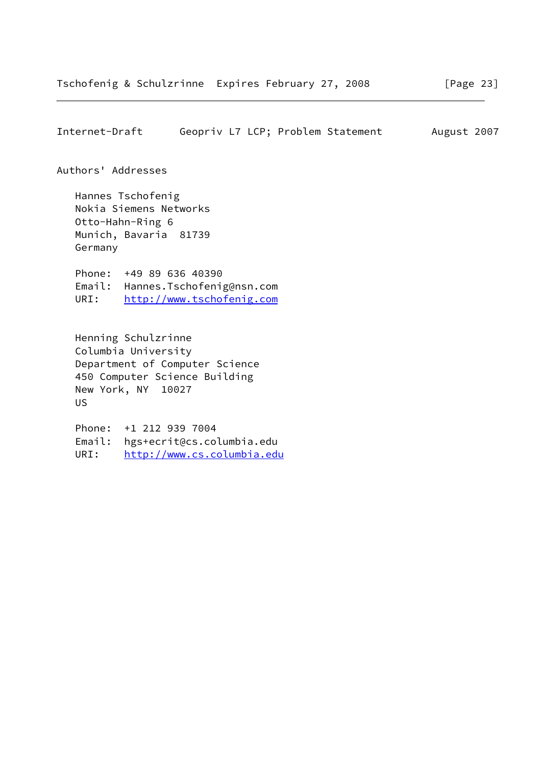<span id="page-26-0"></span>Internet-Draft Geopriv L7 LCP; Problem Statement August 2007

### Authors' Addresses

 Hannes Tschofenig Nokia Siemens Networks Otto-Hahn-Ring 6 Munich, Bavaria 81739 Germany

 Phone: +49 89 636 40390 Email: Hannes.Tschofenig@nsn.com URI: <http://www.tschofenig.com>

 Henning Schulzrinne Columbia University Department of Computer Science 450 Computer Science Building New York, NY 10027 US

 Phone: +1 212 939 7004 Email: hgs+ecrit@cs.columbia.edu URI: <http://www.cs.columbia.edu>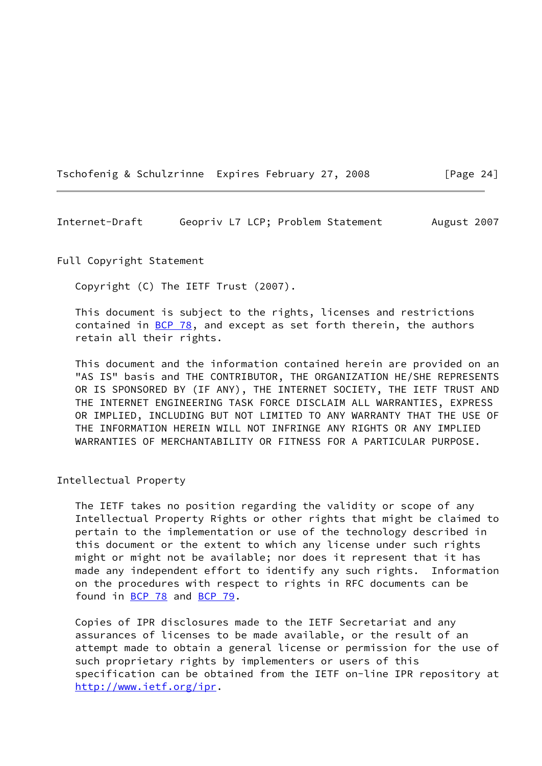Tschofenig & Schulzrinne Expires February 27, 2008 [Page 24]

<span id="page-27-0"></span>Internet-Draft Geopriv L7 LCP; Problem Statement August 2007

Full Copyright Statement

Copyright (C) The IETF Trust (2007).

 This document is subject to the rights, licenses and restrictions contained in  $\underline{BCP}$  78, and except as set forth therein, the authors retain all their rights.

 This document and the information contained herein are provided on an "AS IS" basis and THE CONTRIBUTOR, THE ORGANIZATION HE/SHE REPRESENTS OR IS SPONSORED BY (IF ANY), THE INTERNET SOCIETY, THE IETF TRUST AND THE INTERNET ENGINEERING TASK FORCE DISCLAIM ALL WARRANTIES, EXPRESS OR IMPLIED, INCLUDING BUT NOT LIMITED TO ANY WARRANTY THAT THE USE OF THE INFORMATION HEREIN WILL NOT INFRINGE ANY RIGHTS OR ANY IMPLIED WARRANTIES OF MERCHANTABILITY OR FITNESS FOR A PARTICULAR PURPOSE.

Intellectual Property

 The IETF takes no position regarding the validity or scope of any Intellectual Property Rights or other rights that might be claimed to pertain to the implementation or use of the technology described in this document or the extent to which any license under such rights might or might not be available; nor does it represent that it has made any independent effort to identify any such rights. Information on the procedures with respect to rights in RFC documents can be found in [BCP 78](https://datatracker.ietf.org/doc/pdf/bcp78) and [BCP 79](https://datatracker.ietf.org/doc/pdf/bcp79).

 Copies of IPR disclosures made to the IETF Secretariat and any assurances of licenses to be made available, or the result of an attempt made to obtain a general license or permission for the use of such proprietary rights by implementers or users of this specification can be obtained from the IETF on-line IPR repository at <http://www.ietf.org/ipr>.